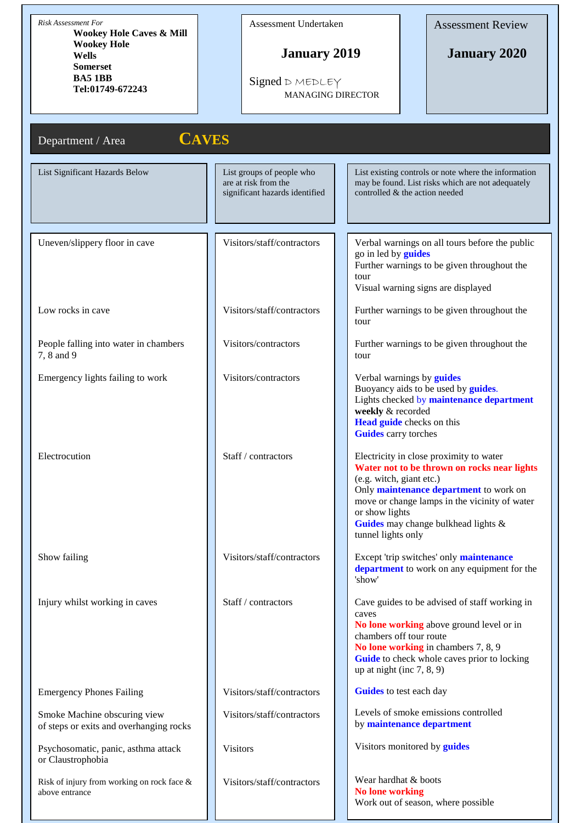| <b>Risk Assessment For</b><br><b>Wookey Hole Caves &amp; Mill</b>                    | Assessment Undertaken                                                               |                                                                                                                   | <b>Assessment Review</b>                                                                                                                                                                                                        |
|--------------------------------------------------------------------------------------|-------------------------------------------------------------------------------------|-------------------------------------------------------------------------------------------------------------------|---------------------------------------------------------------------------------------------------------------------------------------------------------------------------------------------------------------------------------|
| <b>Wookey Hole</b><br>Wells<br><b>Somerset</b><br><b>BA5 1BB</b><br>Tel:01749-672243 | <b>January 2019</b><br>Signed D MEDLEY<br><b>MANAGING DIRECTOR</b>                  |                                                                                                                   | <b>January 2020</b>                                                                                                                                                                                                             |
| Department / Area                                                                    | <b>CAVES</b>                                                                        |                                                                                                                   |                                                                                                                                                                                                                                 |
| List Significant Hazards Below                                                       | List groups of people who<br>are at risk from the<br>significant hazards identified | controlled & the action needed                                                                                    | List existing controls or note where the information<br>may be found. List risks which are not adequately                                                                                                                       |
| Uneven/slippery floor in cave                                                        | Visitors/staff/contractors                                                          | go in led by <b>guides</b><br>tour                                                                                | Verbal warnings on all tours before the public<br>Further warnings to be given throughout the<br>Visual warning signs are displayed                                                                                             |
| Low rocks in cave                                                                    | Visitors/staff/contractors                                                          | tour                                                                                                              | Further warnings to be given throughout the                                                                                                                                                                                     |
| People falling into water in chambers<br>7, 8 and 9                                  | Visitors/contractors                                                                | tour                                                                                                              | Further warnings to be given throughout the                                                                                                                                                                                     |
| Emergency lights failing to work                                                     | Visitors/contractors                                                                | Verbal warnings by <b>guides</b><br>weekly & recorded<br>Head guide checks on this<br><b>Guides</b> carry torches | Buoyancy aids to be used by <i>guides</i> .<br>Lights checked by maintenance department                                                                                                                                         |
| Electrocution                                                                        | Staff / contractors                                                                 | (e.g. witch, giant etc.)<br>or show lights<br>tunnel lights only                                                  | Electricity in close proximity to water<br>Water not to be thrown on rocks near lights<br>Only <b>maintenance department</b> to work on<br>move or change lamps in the vicinity of water<br>Guides may change bulkhead lights & |
| Show failing                                                                         | Visitors/staff/contractors                                                          | 'show'                                                                                                            | Except 'trip switches' only maintenance<br>department to work on any equipment for the                                                                                                                                          |
| Injury whilst working in caves                                                       | Staff / contractors                                                                 | caves<br>chambers off tour route<br>up at night (inc $7, 8, 9$ )                                                  | Cave guides to be advised of staff working in<br>No lone working above ground level or in<br>No lone working in chambers 7, 8, 9<br>Guide to check whole caves prior to locking                                                 |
| <b>Emergency Phones Failing</b>                                                      | Visitors/staff/contractors                                                          | Guides to test each day                                                                                           |                                                                                                                                                                                                                                 |
| Smoke Machine obscuring view<br>of steps or exits and overhanging rocks              | Visitors/staff/contractors                                                          |                                                                                                                   | Levels of smoke emissions controlled<br>by maintenance department                                                                                                                                                               |
| Psychosomatic, panic, asthma attack<br>or Claustrophobia                             | <b>Visitors</b>                                                                     |                                                                                                                   | Visitors monitored by <b>guides</b>                                                                                                                                                                                             |
| Risk of injury from working on rock face &<br>above entrance                         | Visitors/staff/contractors                                                          | Wear hardhat & boots<br><b>No lone working</b>                                                                    | Work out of season, where possible                                                                                                                                                                                              |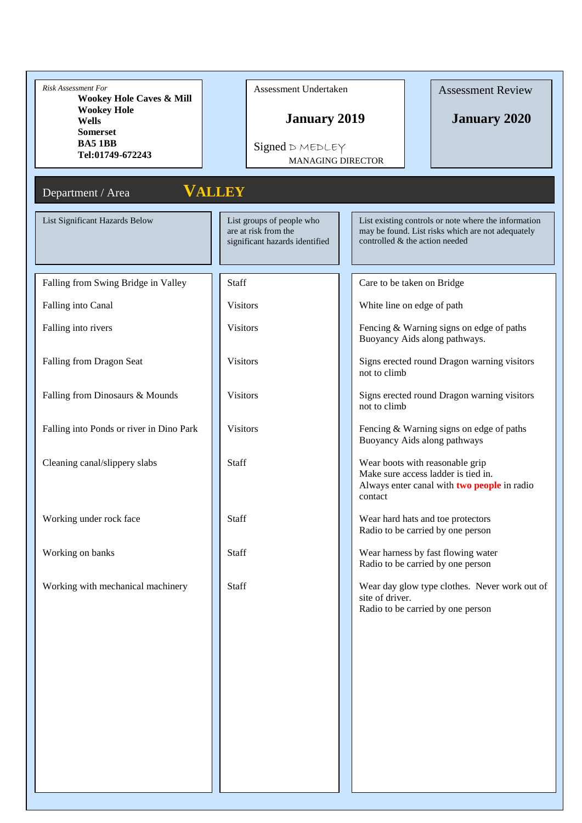| Risk Assessment For<br><b>Wookey Hole Caves &amp; Mill</b> | Assessment Undertaken                                                               |                          | <b>Assessment Review</b>                                                                                                                    |
|------------------------------------------------------------|-------------------------------------------------------------------------------------|--------------------------|---------------------------------------------------------------------------------------------------------------------------------------------|
| <b>Wookey Hole</b><br>Wells<br><b>Somerset</b>             | <b>January 2019</b>                                                                 |                          | <b>January 2020</b>                                                                                                                         |
| <b>BA5 1BB</b><br>Tel:01749-672243                         | Signed D MEDLEY                                                                     | <b>MANAGING DIRECTOR</b> |                                                                                                                                             |
|                                                            |                                                                                     |                          |                                                                                                                                             |
| Department / Area                                          | <b>VALLEY</b>                                                                       |                          |                                                                                                                                             |
| List Significant Hazards Below                             | List groups of people who<br>are at risk from the<br>significant hazards identified |                          | List existing controls or note where the information<br>may be found. List risks which are not adequately<br>controlled & the action needed |
| Falling from Swing Bridge in Valley                        | Staff                                                                               |                          | Care to be taken on Bridge                                                                                                                  |
| Falling into Canal                                         | <b>Visitors</b>                                                                     |                          | White line on edge of path                                                                                                                  |
| Falling into rivers                                        | <b>Visitors</b>                                                                     |                          | Fencing & Warning signs on edge of paths<br>Buoyancy Aids along pathways.                                                                   |
| Falling from Dragon Seat                                   | <b>Visitors</b>                                                                     | not to climb             | Signs erected round Dragon warning visitors                                                                                                 |
| Falling from Dinosaurs & Mounds                            | <b>Visitors</b>                                                                     | not to climb             | Signs erected round Dragon warning visitors                                                                                                 |
| Falling into Ponds or river in Dino Park                   | <b>Visitors</b>                                                                     |                          | Fencing & Warning signs on edge of paths<br>Buoyancy Aids along pathways                                                                    |
| Cleaning canal/slippery slabs                              | <b>Staff</b>                                                                        | contact                  | Wear boots with reasonable grip<br>Make sure access ladder is tied in.<br>Always enter canal with <b>two people</b> in radio                |
| Working under rock face                                    | Staff                                                                               |                          | Wear hard hats and toe protectors<br>Radio to be carried by one person                                                                      |
| Working on banks                                           | Staff                                                                               |                          | Wear harness by fast flowing water<br>Radio to be carried by one person                                                                     |
| Working with mechanical machinery                          | Staff                                                                               | site of driver.          | Wear day glow type clothes. Never work out of<br>Radio to be carried by one person                                                          |
|                                                            |                                                                                     |                          |                                                                                                                                             |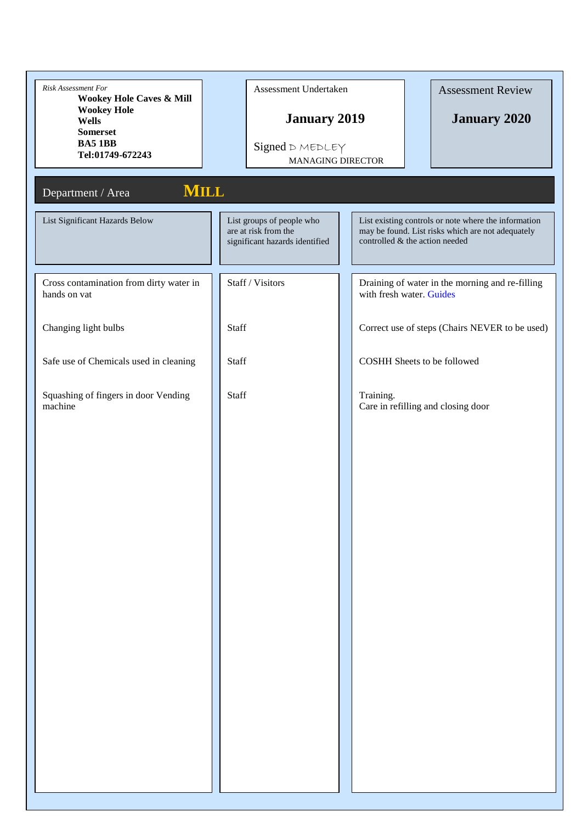| Risk Assessment For<br>Wookey Hole Caves & Mill<br><b>Wookey Hole</b><br>Wells | Assessment Undertaken<br><b>January 2019</b>                                        |                          | <b>Assessment Review</b><br><b>January 2020</b>                                                                                             |
|--------------------------------------------------------------------------------|-------------------------------------------------------------------------------------|--------------------------|---------------------------------------------------------------------------------------------------------------------------------------------|
| <b>Somerset</b><br><b>BA5 1BB</b><br>Tel:01749-672243                          | Signed D MEDLEY                                                                     | <b>MANAGING DIRECTOR</b> |                                                                                                                                             |
| <b>MILL</b><br>Department / Area                                               |                                                                                     |                          |                                                                                                                                             |
| List Significant Hazards Below                                                 | List groups of people who<br>are at risk from the<br>significant hazards identified |                          | List existing controls or note where the information<br>may be found. List risks which are not adequately<br>controlled & the action needed |
| Cross contamination from dirty water in<br>hands on vat                        | Staff / Visitors                                                                    |                          | Draining of water in the morning and re-filling<br>with fresh water. Guides                                                                 |
| Changing light bulbs                                                           | Staff                                                                               |                          | Correct use of steps (Chairs NEVER to be used)                                                                                              |
| Safe use of Chemicals used in cleaning                                         | Staff                                                                               |                          | <b>COSHH Sheets to be followed</b>                                                                                                          |
| Squashing of fingers in door Vending<br>machine                                | Staff                                                                               | Training.                | Care in refilling and closing door                                                                                                          |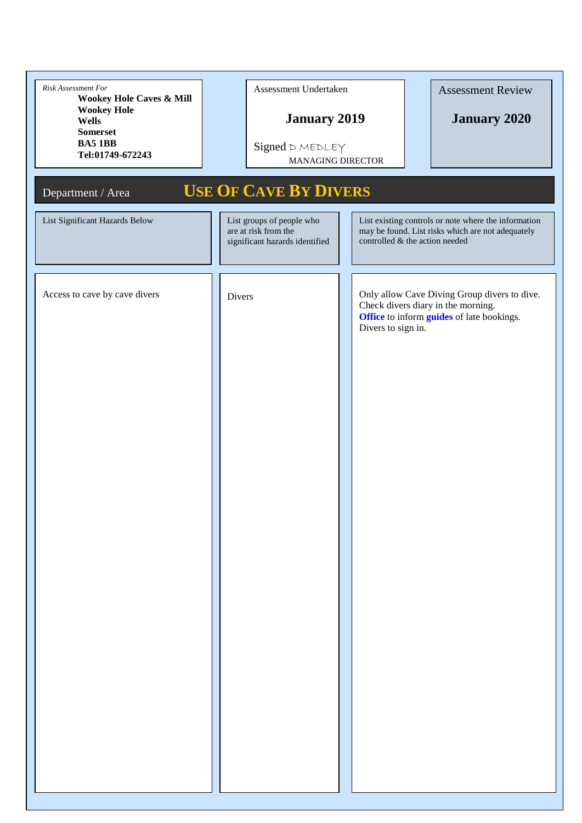| Risk Assessment For<br>Wookey Hole Caves & Mill<br><b>Wookey Hole</b><br><b>Wells</b><br><b>Somerset</b><br><b>BA5 1BB</b><br>Tel:01749-672243 | Assessment Undertaken<br><b>January 2019</b><br>Signed D MEDLEY<br><b>MANAGING DIRECTOR</b> | <b>Assessment Review</b><br><b>January 2020</b>                                                                                                       |
|------------------------------------------------------------------------------------------------------------------------------------------------|---------------------------------------------------------------------------------------------|-------------------------------------------------------------------------------------------------------------------------------------------------------|
| Department / Area                                                                                                                              | <b>USE OF CAVE BY DIVERS</b>                                                                |                                                                                                                                                       |
| List Significant Hazards Below                                                                                                                 | List groups of people who<br>are at risk from the<br>significant hazards identified         | List existing controls or note where the information<br>may be found. List risks which are not adequately<br>controlled & the action needed           |
| Access to cave by cave divers                                                                                                                  | Divers                                                                                      | Only allow Cave Diving Group divers to dive.<br>Check divers diary in the morning.<br>Office to inform guides of late bookings.<br>Divers to sign in. |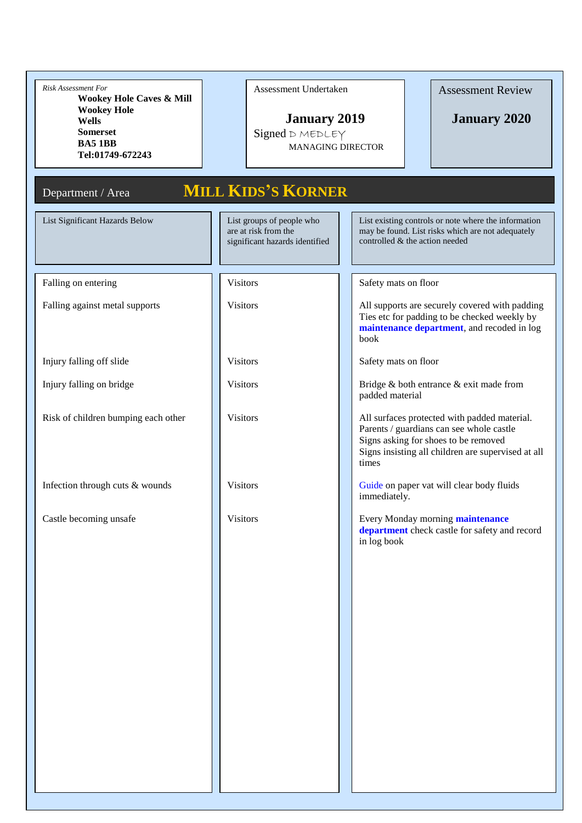| <b>Risk Assessment For</b><br><b>Wookey Hole Caves &amp; Mill</b><br><b>Wookey Hole</b><br>Wells<br><b>Somerset</b><br><b>BA5 1BB</b><br>Tel:01749-672243 | Assessment Undertaken<br><b>January 2019</b><br>Signed D MEDLEY<br><b>MANAGING DIRECTOR</b> | <b>Assessment Review</b><br><b>January 2020</b>                                                                                                                                                 |
|-----------------------------------------------------------------------------------------------------------------------------------------------------------|---------------------------------------------------------------------------------------------|-------------------------------------------------------------------------------------------------------------------------------------------------------------------------------------------------|
| Department / Area                                                                                                                                         | <b>MILL KIDS'S KORNER</b>                                                                   |                                                                                                                                                                                                 |
| List Significant Hazards Below                                                                                                                            | List groups of people who<br>are at risk from the<br>significant hazards identified         | List existing controls or note where the information<br>may be found. List risks which are not adequately<br>controlled & the action needed                                                     |
| Falling on entering                                                                                                                                       | <b>Visitors</b>                                                                             | Safety mats on floor                                                                                                                                                                            |
| Falling against metal supports                                                                                                                            | <b>Visitors</b>                                                                             | All supports are securely covered with padding<br>Ties etc for padding to be checked weekly by<br>maintenance department, and recoded in log<br>book                                            |
| Injury falling off slide                                                                                                                                  | <b>Visitors</b>                                                                             | Safety mats on floor                                                                                                                                                                            |
| Injury falling on bridge                                                                                                                                  | <b>Visitors</b>                                                                             | Bridge & both entrance & exit made from<br>padded material                                                                                                                                      |
| Risk of children bumping each other                                                                                                                       | <b>Visitors</b>                                                                             | All surfaces protected with padded material.<br>Parents / guardians can see whole castle<br>Signs asking for shoes to be removed<br>Signs insisting all children are supervised at all<br>times |
| Infection through cuts & wounds                                                                                                                           | <b>Visitors</b>                                                                             | Guide on paper vat will clear body fluids<br>immediately.                                                                                                                                       |
| Castle becoming unsafe                                                                                                                                    | <b>Visitors</b>                                                                             | Every Monday morning <b>maintenance</b><br>department check castle for safety and record<br>in log book                                                                                         |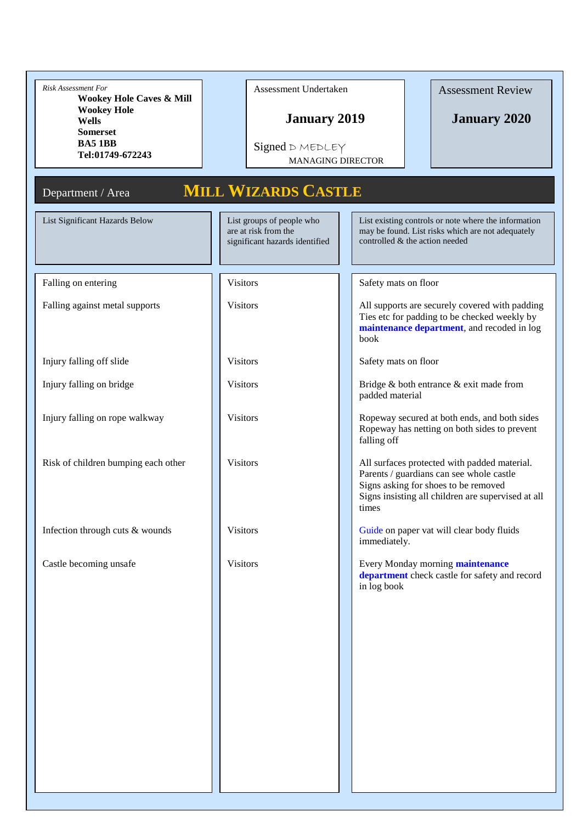| Risk Assessment For<br><b>Wookey Hole Caves &amp; Mill</b><br><b>Wookey Hole</b><br><b>Wells</b><br><b>Somerset</b><br><b>BA51BB</b><br>Tel:01749-672243<br>Department / Area | Assessment Undertaken<br><b>January 2019</b><br>Signed D MEDLEY<br><b>MANAGING DIRECTOR</b><br><b>MILL WIZARDS CASTLE</b> | <b>Assessment Review</b><br><b>January 2020</b>                                                                                                                                                |
|-------------------------------------------------------------------------------------------------------------------------------------------------------------------------------|---------------------------------------------------------------------------------------------------------------------------|------------------------------------------------------------------------------------------------------------------------------------------------------------------------------------------------|
| List Significant Hazards Below                                                                                                                                                | List groups of people who<br>are at risk from the<br>significant hazards identified                                       | List existing controls or note where the information<br>may be found. List risks which are not adequately<br>controlled & the action needed                                                    |
| Falling on entering                                                                                                                                                           | <b>Visitors</b>                                                                                                           | Safety mats on floor                                                                                                                                                                           |
| Falling against metal supports                                                                                                                                                | <b>Visitors</b>                                                                                                           | All supports are securely covered with padding<br>Ties etc for padding to be checked weekly by<br>maintenance department, and recoded in log<br>book                                           |
| Injury falling off slide                                                                                                                                                      | <b>Visitors</b>                                                                                                           | Safety mats on floor                                                                                                                                                                           |
| Injury falling on bridge                                                                                                                                                      | <b>Visitors</b>                                                                                                           | Bridge & both entrance & exit made from<br>padded material                                                                                                                                     |
| Injury falling on rope walkway                                                                                                                                                | <b>Visitors</b>                                                                                                           | Ropeway secured at both ends, and both sides<br>Ropeway has netting on both sides to prevent<br>falling off                                                                                    |
| Risk of children bumping each other                                                                                                                                           | <b>Visitors</b>                                                                                                           | All surfaces protected with padded material.<br>Parents / guardians can see whole castle<br>Signs asking for shoes to be removed<br>Signs insisting all children are supervised at all<br>umes |
| Infection through cuts & wounds                                                                                                                                               | <b>Visitors</b>                                                                                                           | Guide on paper vat will clear body fluids<br>immediately.                                                                                                                                      |
| Castle becoming unsafe                                                                                                                                                        | <b>Visitors</b>                                                                                                           | Every Monday morning maintenance<br>department check castle for safety and record<br>in log book                                                                                               |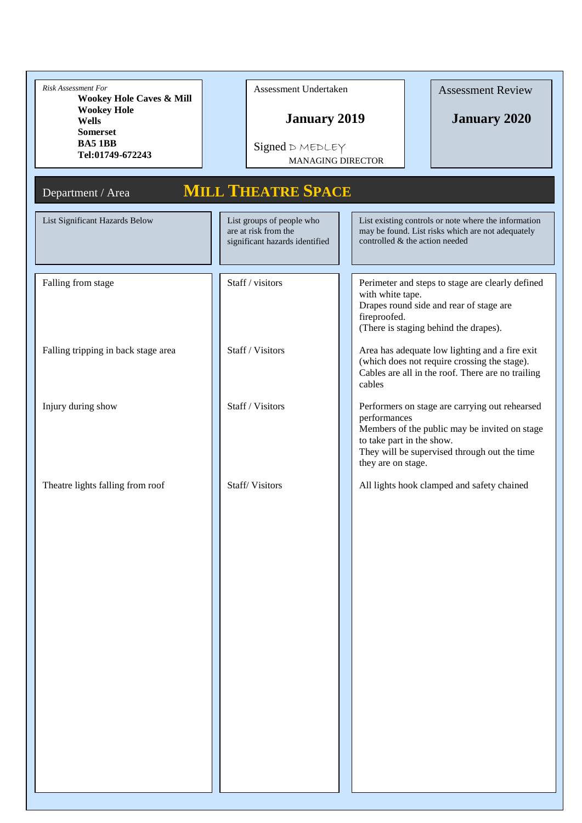| Risk Assessment For<br><b>Wookey Hole Caves &amp; Mill</b><br><b>Wookey Hole</b><br>Wells<br><b>Somerset</b><br><b>BA51BB</b><br>Tel:01749-672243 | Assessment Undertaken<br><b>January 2019</b><br>Signed D MEDLEY<br><b>MANAGING DIRECTOR</b> | <b>Assessment Review</b><br><b>January 2020</b>                                                                                                                                                                    |
|---------------------------------------------------------------------------------------------------------------------------------------------------|---------------------------------------------------------------------------------------------|--------------------------------------------------------------------------------------------------------------------------------------------------------------------------------------------------------------------|
| Department / Area                                                                                                                                 | <b>MILL THEATRE SPACE</b>                                                                   |                                                                                                                                                                                                                    |
| List Significant Hazards Below                                                                                                                    | List groups of people who<br>are at risk from the<br>significant hazards identified         | List existing controls or note where the information<br>may be found. List risks which are not adequately<br>controlled & the action needed                                                                        |
| Falling from stage                                                                                                                                | Staff / visitors                                                                            | Perimeter and steps to stage are clearly defined<br>with white tape.<br>Drapes round side and rear of stage are<br>fireproofed.<br>(There is staging behind the drapes).                                           |
| Falling tripping in back stage area                                                                                                               | Staff / Visitors                                                                            | Area has adequate low lighting and a fire exit<br>(which does not require crossing the stage).<br>Cables are all in the roof. There are no trailing<br>cables                                                      |
| Injury during show                                                                                                                                | Staff / Visitors                                                                            | Performers on stage are carrying out rehearsed<br>performances<br>Members of the public may be invited on stage<br>to take part in the show.<br>They will be supervised through out the time<br>they are on stage. |
| Theatre lights falling from roof                                                                                                                  | Staff/Visitors                                                                              | All lights hook clamped and safety chained                                                                                                                                                                         |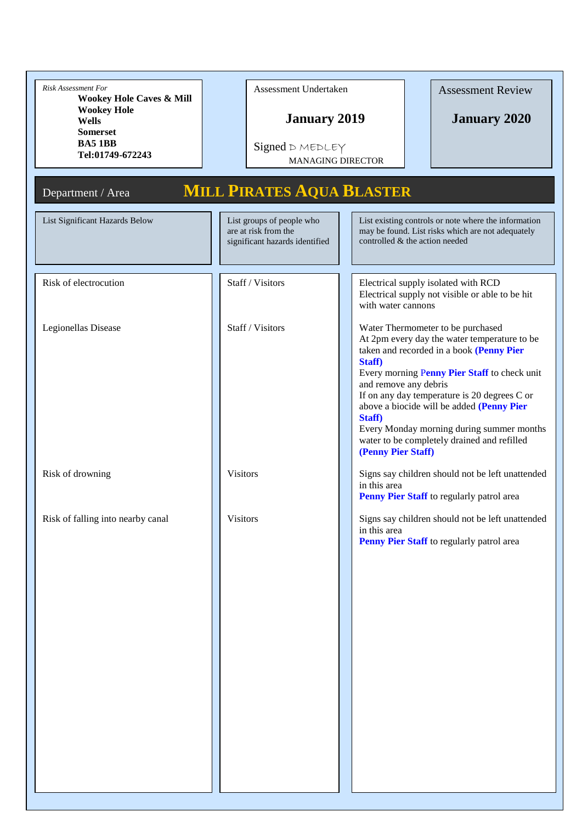| Risk Assessment For<br><b>Wookey Hole Caves &amp; Mill</b><br><b>Wookey Hole</b><br><b>Wells</b><br><b>Somerset</b><br><b>BA51BB</b><br>Tel:01749-672243 | Assessment Undertaken<br><b>January 2019</b><br>Signed D MEDLEY<br><b>MANAGING DIRECTOR</b> | <b>Assessment Review</b><br><b>January 2020</b>                                                                                                                                                                                                                                                                                                                                                                                           |
|----------------------------------------------------------------------------------------------------------------------------------------------------------|---------------------------------------------------------------------------------------------|-------------------------------------------------------------------------------------------------------------------------------------------------------------------------------------------------------------------------------------------------------------------------------------------------------------------------------------------------------------------------------------------------------------------------------------------|
| Department / Area                                                                                                                                        | <b>MILL PIRATES AQUA BLASTER</b>                                                            |                                                                                                                                                                                                                                                                                                                                                                                                                                           |
| List Significant Hazards Below                                                                                                                           | List groups of people who<br>are at risk from the<br>significant hazards identified         | List existing controls or note where the information<br>may be found. List risks which are not adequately<br>controlled & the action needed                                                                                                                                                                                                                                                                                               |
| Risk of electrocution                                                                                                                                    | Staff / Visitors                                                                            | Electrical supply isolated with RCD<br>Electrical supply not visible or able to be hit<br>with water cannons                                                                                                                                                                                                                                                                                                                              |
| Legionellas Disease                                                                                                                                      | Staff / Visitors                                                                            | Water Thermometer to be purchased<br>At 2pm every day the water temperature to be<br>taken and recorded in a book (Penny Pier<br>Staff)<br>Every morning Penny Pier Staff to check unit<br>and remove any debris<br>If on any day temperature is 20 degrees C or<br>above a biocide will be added (Penny Pier<br>Staff)<br>Every Monday morning during summer months<br>water to be completely drained and refilled<br>(Penny Pier Staff) |
| Risk of drowning                                                                                                                                         | <b>Visitors</b>                                                                             | Signs say children should not be left unattended<br>in this area<br>Penny Pier Staff to regularly patrol area                                                                                                                                                                                                                                                                                                                             |
| Risk of falling into nearby canal                                                                                                                        | <b>Visitors</b>                                                                             | Signs say children should not be left unattended<br>in this area<br>Penny Pier Staff to regularly patrol area                                                                                                                                                                                                                                                                                                                             |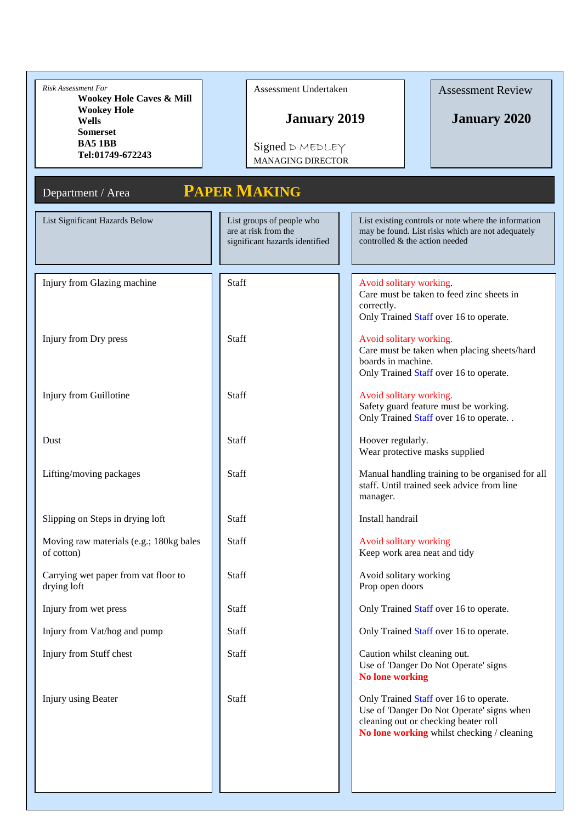| <b>Risk Assessment For</b><br>Wookey Hole Caves & Mill | Assessment Undertaken                                                               | <b>Assessment Review</b>                                                                                                                                                  |
|--------------------------------------------------------|-------------------------------------------------------------------------------------|---------------------------------------------------------------------------------------------------------------------------------------------------------------------------|
| <b>Wookey Hole</b><br><b>Wells</b>                     | <b>January 2019</b>                                                                 | <b>January 2020</b>                                                                                                                                                       |
| <b>Somerset</b><br><b>BA51BB</b>                       | Signed D MEDLEY                                                                     |                                                                                                                                                                           |
| Tel:01749-672243                                       | <b>MANAGING DIRECTOR</b>                                                            |                                                                                                                                                                           |
| Department / Area                                      | <b>PAPER MAKING</b>                                                                 |                                                                                                                                                                           |
| List Significant Hazards Below                         | List groups of people who<br>are at risk from the<br>significant hazards identified | List existing controls or note where the information<br>may be found. List risks which are not adequately<br>controlled & the action needed                               |
|                                                        |                                                                                     |                                                                                                                                                                           |
| Injury from Glazing machine                            | <b>Staff</b>                                                                        | Avoid solitary working.<br>Care must be taken to feed zinc sheets in<br>correctly.<br>Only Trained Staff over 16 to operate.                                              |
| Injury from Dry press                                  | Staff                                                                               | Avoid solitary working.<br>Care must be taken when placing sheets/hard<br>boards in machine.<br>Only Trained Staff over 16 to operate.                                    |
| Injury from Guillotine                                 | <b>Staff</b>                                                                        | Avoid solitary working.<br>Safety guard feature must be working.<br>Only Trained Staff over 16 to operate                                                                 |
| Dust                                                   | <b>Staff</b>                                                                        | Hoover regularly.<br>Wear protective masks supplied                                                                                                                       |
| Lifting/moving packages                                | Staff                                                                               | Manual handling training to be organised for all<br>staff. Until trained seek advice from line<br>manager.                                                                |
| Slipping on Steps in drying loft                       | Staff                                                                               | Install handrail                                                                                                                                                          |
| Moving raw materials (e.g.; 180kg bales<br>of cotton)  | Staff                                                                               | Avoid solitary working<br>Keep work area neat and tidy                                                                                                                    |
| Carrying wet paper from vat floor to<br>drying loft    | Staff                                                                               | Avoid solitary working<br>Prop open doors                                                                                                                                 |
| Injury from wet press                                  | Staff                                                                               | Only Trained Staff over 16 to operate.                                                                                                                                    |
| Injury from Vat/hog and pump                           | Staff                                                                               | Only Trained Staff over 16 to operate.                                                                                                                                    |
| Injury from Stuff chest                                | Staff                                                                               | Caution whilst cleaning out.<br>Use of 'Danger Do Not Operate' signs<br><b>No lone working</b>                                                                            |
| Injury using Beater                                    | Staff                                                                               | Only Trained Staff over 16 to operate.<br>Use of 'Danger Do Not Operate' signs when<br>cleaning out or checking beater roll<br>No lone working whilst checking / cleaning |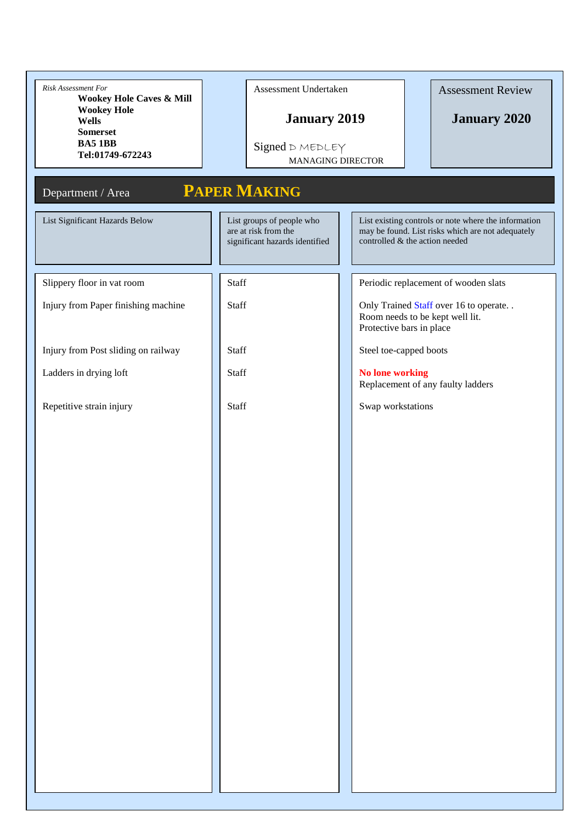| Risk Assessment For<br><b>Wookey Hole Caves &amp; Mill</b><br><b>Wookey Hole</b><br><b>Wells</b><br><b>Somerset</b><br><b>BA51BB</b><br>Tel:01749-672243 | Assessment Undertaken<br><b>January 2019</b><br>Signed D MEDLEY<br><b>MANAGING DIRECTOR</b> | <b>Assessment Review</b><br><b>January 2020</b>                                                                                             |
|----------------------------------------------------------------------------------------------------------------------------------------------------------|---------------------------------------------------------------------------------------------|---------------------------------------------------------------------------------------------------------------------------------------------|
| Department / Area                                                                                                                                        | <b>PAPER MAKING</b>                                                                         |                                                                                                                                             |
| List Significant Hazards Below                                                                                                                           | List groups of people who<br>are at risk from the<br>significant hazards identified         | List existing controls or note where the information<br>may be found. List risks which are not adequately<br>controlled & the action needed |
| Slippery floor in vat room                                                                                                                               | Staff                                                                                       | Periodic replacement of wooden slats                                                                                                        |
| Injury from Paper finishing machine                                                                                                                      | Staff                                                                                       | Only Trained Staff over 16 to operate<br>Room needs to be kept well lit.<br>Protective bars in place                                        |
| Injury from Post sliding on railway                                                                                                                      | Staff                                                                                       | Steel toe-capped boots                                                                                                                      |
| Ladders in drying loft                                                                                                                                   | Staff                                                                                       | <b>No lone working</b><br>Replacement of any faulty ladders                                                                                 |
| Repetitive strain injury                                                                                                                                 | Staff                                                                                       | Swap workstations                                                                                                                           |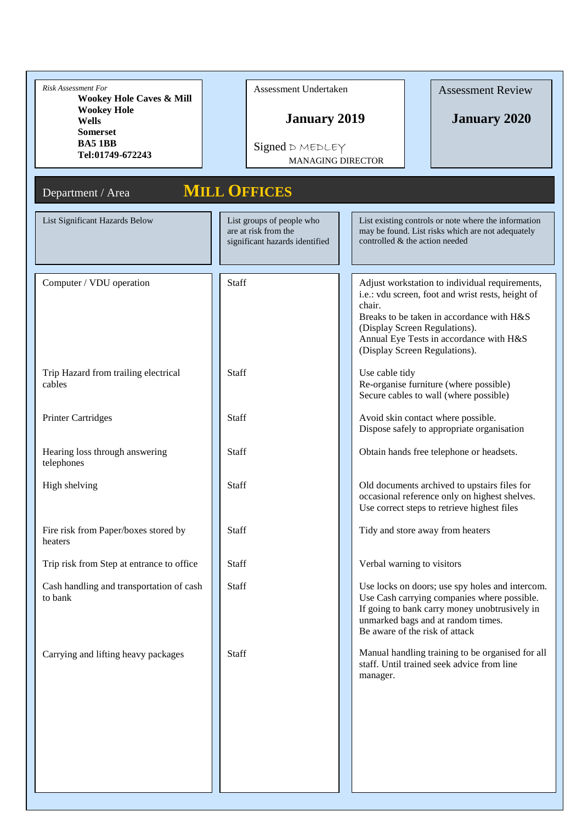| <b>Risk Assessment For</b><br><b>Wookey Hole Caves &amp; Mill</b><br><b>Wookey Hole</b> | Assessment Undertaken                                                               | <b>Assessment Review</b>                                                                                                                                                                                                                                                |
|-----------------------------------------------------------------------------------------|-------------------------------------------------------------------------------------|-------------------------------------------------------------------------------------------------------------------------------------------------------------------------------------------------------------------------------------------------------------------------|
| <b>Wells</b><br><b>Somerset</b><br><b>BA5 1BB</b><br>Tel:01749-672243                   | <b>January 2019</b><br>Signed D MEDLEY<br><b>MANAGING DIRECTOR</b>                  | <b>January 2020</b>                                                                                                                                                                                                                                                     |
| Department / Area                                                                       | <b>MILL OFFICES</b>                                                                 |                                                                                                                                                                                                                                                                         |
| List Significant Hazards Below                                                          | List groups of people who<br>are at risk from the<br>significant hazards identified | List existing controls or note where the information<br>may be found. List risks which are not adequately<br>controlled & the action needed                                                                                                                             |
| Computer / VDU operation                                                                | Staff                                                                               | Adjust workstation to individual requirements,<br>i.e.: vdu screen, foot and wrist rests, height of<br>chair.<br>Breaks to be taken in accordance with H&S<br>(Display Screen Regulations).<br>Annual Eye Tests in accordance with H&S<br>(Display Screen Regulations). |
| Trip Hazard from trailing electrical<br>cables                                          | <b>Staff</b>                                                                        | Use cable tidy<br>Re-organise furniture (where possible)<br>Secure cables to wall (where possible)                                                                                                                                                                      |
| <b>Printer Cartridges</b>                                                               | <b>Staff</b>                                                                        | Avoid skin contact where possible.<br>Dispose safely to appropriate organisation                                                                                                                                                                                        |
| Hearing loss through answering<br>telephones                                            | <b>Staff</b>                                                                        | Obtain hands free telephone or headsets.                                                                                                                                                                                                                                |
| High shelving                                                                           | <b>Staff</b>                                                                        | Old documents archived to upstairs files for<br>occasional reference only on highest shelves.<br>Use correct steps to retrieve highest files                                                                                                                            |
| Fire risk from Paper/boxes stored by<br>heaters                                         | Staff                                                                               | Tidy and store away from heaters                                                                                                                                                                                                                                        |
| Trip risk from Step at entrance to office                                               | Staff                                                                               | Verbal warning to visitors                                                                                                                                                                                                                                              |
| Cash handling and transportation of cash<br>to bank                                     | Staff                                                                               | Use locks on doors; use spy holes and intercom.<br>Use Cash carrying companies where possible.<br>If going to bank carry money unobtrusively in<br>unmarked bags and at random times.<br>Be aware of the risk of attack                                                 |
| Carrying and lifting heavy packages                                                     | Staff                                                                               | Manual handling training to be organised for all<br>staff. Until trained seek advice from line<br>manager.                                                                                                                                                              |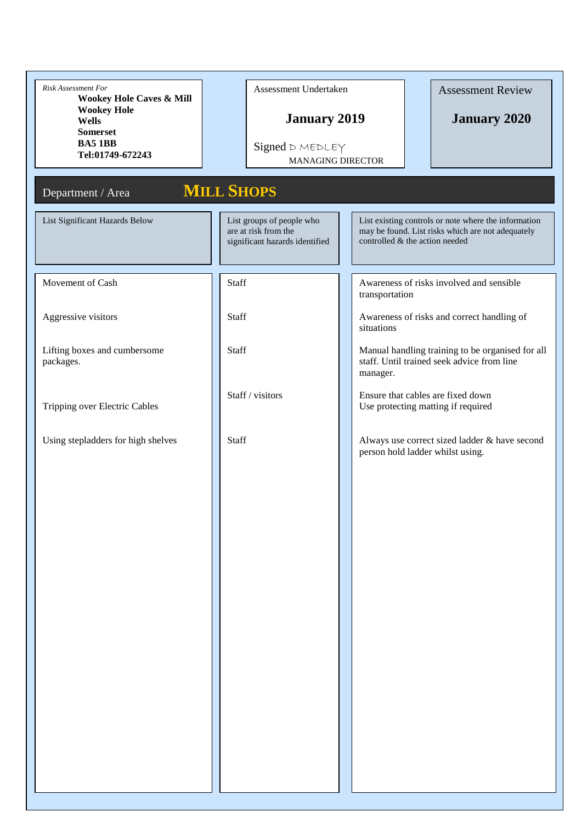| Risk Assessment For<br><b>Wookey Hole Caves &amp; Mill</b><br><b>Wookey Hole</b><br><b>Wells</b><br><b>Somerset</b><br><b>BA51BB</b><br>Tel:01749-672243<br>Department / Area | Assessment Undertaken<br><b>January 2019</b><br>Signed D MEDLEY<br><b>MANAGING DIRECTOR</b><br><b>MILL SHOPS</b> | <b>Assessment Review</b><br><b>January 2020</b>                                                                                             |
|-------------------------------------------------------------------------------------------------------------------------------------------------------------------------------|------------------------------------------------------------------------------------------------------------------|---------------------------------------------------------------------------------------------------------------------------------------------|
| List Significant Hazards Below                                                                                                                                                | List groups of people who<br>are at risk from the<br>significant hazards identified                              | List existing controls or note where the information<br>may be found. List risks which are not adequately<br>controlled & the action needed |
| Movement of Cash                                                                                                                                                              | <b>Staff</b>                                                                                                     | Awareness of risks involved and sensible<br>transportation                                                                                  |
| Aggressive visitors                                                                                                                                                           | Staff                                                                                                            | Awareness of risks and correct handling of<br>situations                                                                                    |
| Lifting boxes and cumbersome<br>packages.                                                                                                                                     | Staff                                                                                                            | Manual handling training to be organised for all<br>staff. Until trained seek advice from line<br>manager.                                  |
| Tripping over Electric Cables                                                                                                                                                 | Staff / visitors                                                                                                 | Ensure that cables are fixed down<br>Use protecting matting if required                                                                     |
| Using stepladders for high shelves                                                                                                                                            | Staff                                                                                                            | Always use correct sized ladder & have second<br>person hold ladder whilst using.                                                           |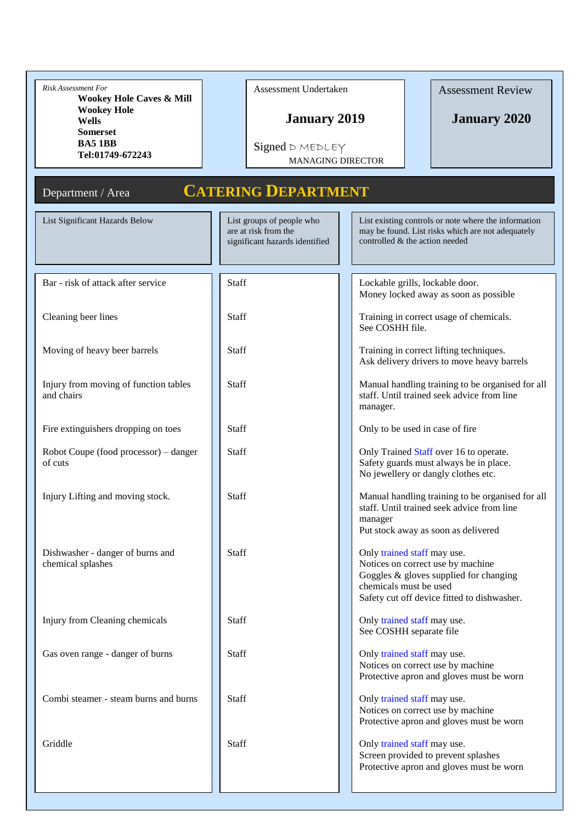| <b>Risk Assessment For</b><br><b>Wookey Hole Caves &amp; Mill</b> | Assessment Undertaken                                                               | <b>Assessment Review</b>                                                                                                                                                            |  |  |
|-------------------------------------------------------------------|-------------------------------------------------------------------------------------|-------------------------------------------------------------------------------------------------------------------------------------------------------------------------------------|--|--|
| <b>Wookey Hole</b><br><b>Wells</b><br><b>Somerset</b>             | <b>January 2019</b>                                                                 | <b>January 2020</b>                                                                                                                                                                 |  |  |
| <b>BA51BB</b><br>Tel:01749-672243                                 | $Signed$ $D$ $MEDLEY$                                                               | <b>MANAGING DIRECTOR</b>                                                                                                                                                            |  |  |
| Department / Area                                                 | <b>CATERING DEPARTMENT</b>                                                          |                                                                                                                                                                                     |  |  |
| List Significant Hazards Below                                    | List groups of people who<br>are at risk from the<br>significant hazards identified | List existing controls or note where the information<br>may be found. List risks which are not adequately<br>controlled & the action needed                                         |  |  |
| Bar - risk of attack after service                                | <b>Staff</b>                                                                        | Lockable grills, lockable door.<br>Money locked away as soon as possible                                                                                                            |  |  |
| Cleaning beer lines                                               | <b>Staff</b>                                                                        | Training in correct usage of chemicals.<br>See COSHH file.                                                                                                                          |  |  |
| Moving of heavy beer barrels                                      | <b>Staff</b>                                                                        | Training in correct lifting techniques.<br>Ask delivery drivers to move heavy barrels                                                                                               |  |  |
| Injury from moving of function tables<br>and chairs               | Staff                                                                               | Manual handling training to be organised for all<br>staff. Until trained seek advice from line<br>manager.                                                                          |  |  |
| Fire extinguishers dropping on toes                               | <b>Staff</b>                                                                        | Only to be used in case of fire                                                                                                                                                     |  |  |
| Robot Coupe (food processor) – danger<br>of cuts                  | <b>Staff</b>                                                                        | Only Trained Staff over 16 to operate.<br>Safety guards must always be in place.<br>No jewellery or dangly clothes etc.                                                             |  |  |
| Injury Lifting and moving stock.                                  | <b>Staff</b>                                                                        | Manual handling training to be organised for all<br>staff. Until trained seek advice from line<br>manager<br>Put stock away as soon as delivered                                    |  |  |
| Dishwasher - danger of burns and<br>chemical splashes             | <b>Staff</b>                                                                        | Only trained staff may use.<br>Notices on correct use by machine<br>Goggles & gloves supplied for changing<br>chemicals must be used<br>Safety cut off device fitted to dishwasher. |  |  |
| Injury from Cleaning chemicals                                    | <b>Staff</b>                                                                        | Only trained staff may use.<br>See COSHH separate file                                                                                                                              |  |  |
| Gas oven range - danger of burns                                  | <b>Staff</b>                                                                        | Only trained staff may use.<br>Notices on correct use by machine<br>Protective apron and gloves must be worn                                                                        |  |  |
| Combi steamer - steam burns and burns                             | <b>Staff</b>                                                                        | Only trained staff may use.<br>Notices on correct use by machine<br>Protective apron and gloves must be worn                                                                        |  |  |
| Griddle                                                           | Staff                                                                               | Only trained staff may use.<br>Screen provided to prevent splashes<br>Protective apron and gloves must be worn                                                                      |  |  |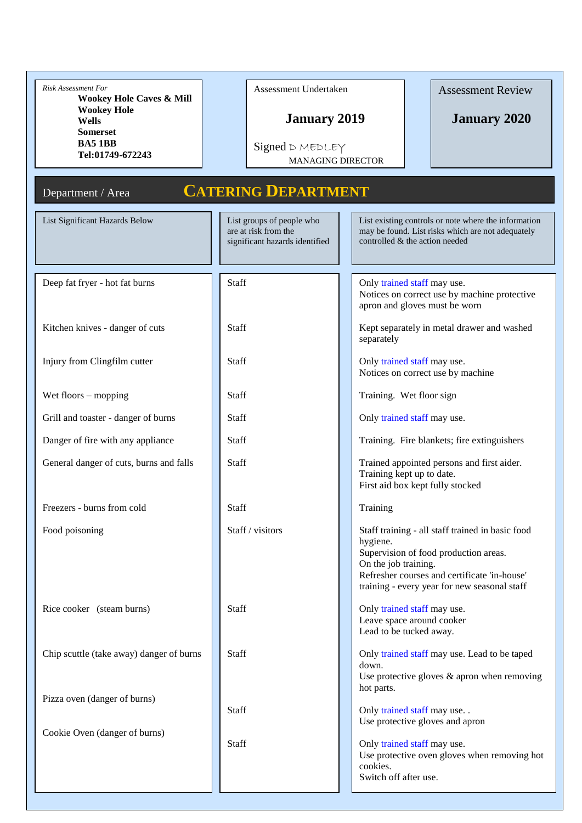| <b>Risk Assessment For</b><br><b>Wookey Hole Caves &amp; Mill</b><br><b>Wookey Hole</b><br><b>Wells</b><br><b>Somerset</b><br><b>BA51BB</b><br>Tel:01749-672243<br>Department / Area | Assessment Undertaken<br><b>January 2019</b><br>Signed D MEDLEY<br><b>MANAGING DIRECTOR</b><br><b>CATERING DEPARTMENT</b> | <b>Assessment Review</b><br><b>January 2020</b>                                                                                                                                                                               |  |  |
|--------------------------------------------------------------------------------------------------------------------------------------------------------------------------------------|---------------------------------------------------------------------------------------------------------------------------|-------------------------------------------------------------------------------------------------------------------------------------------------------------------------------------------------------------------------------|--|--|
| List Significant Hazards Below                                                                                                                                                       | List groups of people who<br>are at risk from the<br>significant hazards identified                                       | List existing controls or note where the information<br>may be found. List risks which are not adequately<br>controlled & the action needed                                                                                   |  |  |
| Deep fat fryer - hot fat burns                                                                                                                                                       | Staff                                                                                                                     | Only trained staff may use.<br>Notices on correct use by machine protective<br>apron and gloves must be worn                                                                                                                  |  |  |
| Kitchen knives - danger of cuts                                                                                                                                                      | <b>Staff</b>                                                                                                              | Kept separately in metal drawer and washed<br>separately                                                                                                                                                                      |  |  |
| Injury from Clingfilm cutter                                                                                                                                                         | <b>Staff</b>                                                                                                              | Only trained staff may use.<br>Notices on correct use by machine                                                                                                                                                              |  |  |
| Wet floors $-$ mopping                                                                                                                                                               | <b>Staff</b>                                                                                                              | Training. Wet floor sign                                                                                                                                                                                                      |  |  |
| Grill and toaster - danger of burns                                                                                                                                                  | <b>Staff</b>                                                                                                              | Only trained staff may use.                                                                                                                                                                                                   |  |  |
| Danger of fire with any appliance                                                                                                                                                    | Staff                                                                                                                     | Training. Fire blankets; fire extinguishers                                                                                                                                                                                   |  |  |
| General danger of cuts, burns and falls                                                                                                                                              | <b>Staff</b>                                                                                                              | Trained appointed persons and first aider.<br>Training kept up to date.<br>First aid box kept fully stocked                                                                                                                   |  |  |
| Freezers - burns from cold                                                                                                                                                           | Staff                                                                                                                     | Training                                                                                                                                                                                                                      |  |  |
| Food poisoning                                                                                                                                                                       | Staff / visitors                                                                                                          | Staff training - all staff trained in basic food<br>hygiene.<br>Supervision of food production areas.<br>On the job training.<br>Refresher courses and certificate 'in-house'<br>training - every year for new seasonal staff |  |  |
| Rice cooker (steam burns)                                                                                                                                                            | Staff                                                                                                                     | Only trained staff may use.<br>Leave space around cooker<br>Lead to be tucked away.                                                                                                                                           |  |  |
| Chip scuttle (take away) danger of burns                                                                                                                                             | Staff                                                                                                                     | Only trained staff may use. Lead to be taped<br>down.<br>Use protective gloves $&$ apron when removing<br>hot parts.                                                                                                          |  |  |
| Pizza oven (danger of burns)                                                                                                                                                         | Staff                                                                                                                     | Only trained staff may use<br>Use protective gloves and apron                                                                                                                                                                 |  |  |
| Cookie Oven (danger of burns)                                                                                                                                                        | Staff                                                                                                                     | Only trained staff may use.<br>Use protective oven gloves when removing hot<br>cookies.<br>Switch off after use.                                                                                                              |  |  |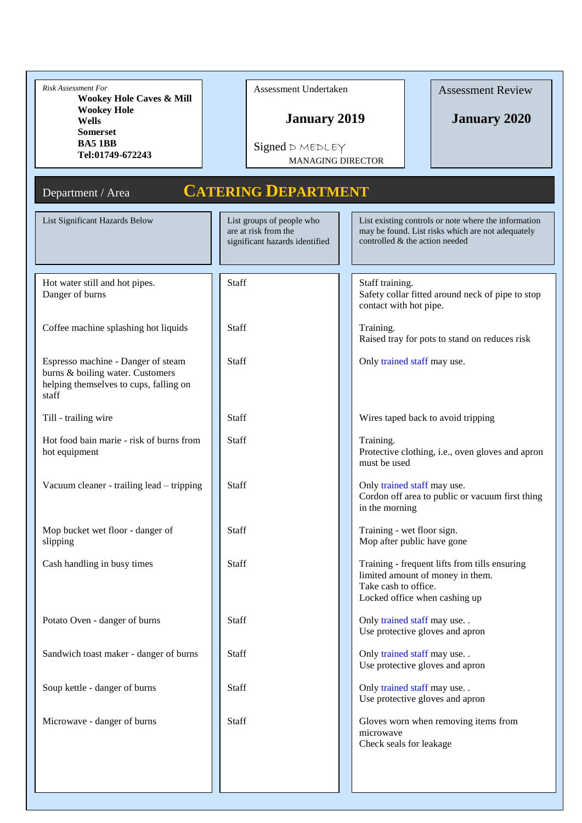| <b>Risk Assessment For</b><br><b>Wookey Hole Caves &amp; Mill</b><br><b>Wookey Hole</b><br><b>Wells</b><br><b>Somerset</b> | Assessment Undertaken<br><b>January 2019</b>                                        | <b>Assessment Review</b><br><b>January 2020</b>                                                                                             |
|----------------------------------------------------------------------------------------------------------------------------|-------------------------------------------------------------------------------------|---------------------------------------------------------------------------------------------------------------------------------------------|
| <b>BA5 1BB</b><br>Tel:01749-672243                                                                                         | Signed D MEDLEY<br><b>MANAGING DIRECTOR</b>                                         |                                                                                                                                             |
| Department / Area                                                                                                          | <b>CATERING DEPARTMENT</b>                                                          |                                                                                                                                             |
| List Significant Hazards Below                                                                                             | List groups of people who<br>are at risk from the<br>significant hazards identified | List existing controls or note where the information<br>may be found. List risks which are not adequately<br>controlled & the action needed |
| Hot water still and hot pipes.<br>Danger of burns                                                                          | Staff                                                                               | Staff training.<br>Safety collar fitted around neck of pipe to stop<br>contact with hot pipe.                                               |
| Coffee machine splashing hot liquids                                                                                       | <b>Staff</b>                                                                        | Training.<br>Raised tray for pots to stand on reduces risk                                                                                  |
| Espresso machine - Danger of steam<br>burns & boiling water. Customers<br>helping themselves to cups, falling on<br>staff  | <b>Staff</b>                                                                        | Only trained staff may use.                                                                                                                 |
| Till - trailing wire                                                                                                       | <b>Staff</b>                                                                        | Wires taped back to avoid tripping                                                                                                          |
| Hot food bain marie - risk of burns from<br>hot equipment                                                                  | <b>Staff</b>                                                                        | Training.<br>Protective clothing, i.e., oven gloves and apron<br>must be used                                                               |
| Vacuum cleaner - trailing lead - tripping                                                                                  | Staff                                                                               | Only trained staff may use.<br>Cordon off area to public or vacuum first thing<br>in the morning                                            |
| Mop bucket wet floor - danger of<br>slipping                                                                               | Staff                                                                               | Training - wet floor sign.<br>Mop after public have gone                                                                                    |
| Cash handling in busy times                                                                                                | Staff                                                                               | Training - frequent lifts from tills ensuring<br>limited amount of money in them.<br>Take cash to office.<br>Locked office when cashing up  |
| Potato Oven - danger of burns                                                                                              | Staff                                                                               | Only trained staff may use. .<br>Use protective gloves and apron                                                                            |
| Sandwich toast maker - danger of burns                                                                                     | <b>Staff</b>                                                                        | Only trained staff may use. .<br>Use protective gloves and apron                                                                            |
| Soup kettle - danger of burns                                                                                              | Staff                                                                               | Only trained staff may use. .<br>Use protective gloves and apron                                                                            |
| Microwave - danger of burns                                                                                                | <b>Staff</b>                                                                        | Gloves worn when removing items from<br>microwave<br>Check seals for leakage                                                                |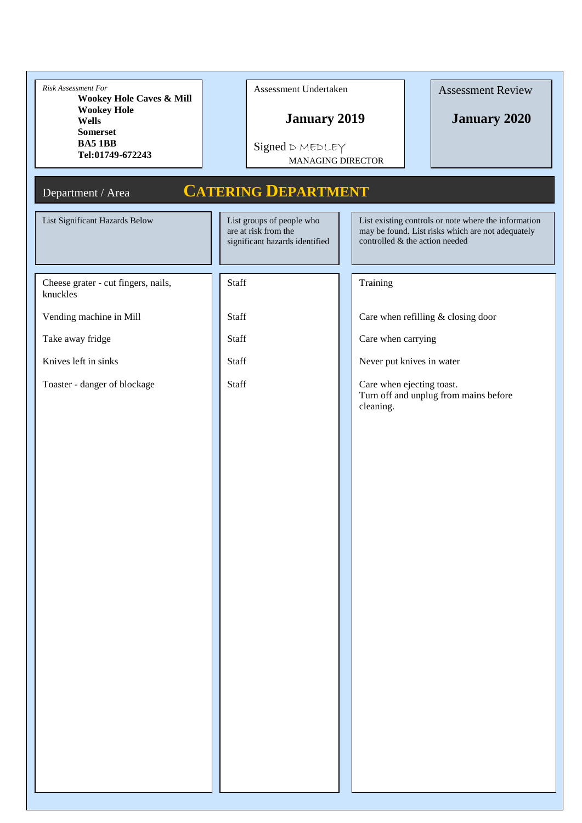| Risk Assessment For<br>Wookey Hole Caves & Mill       | Assessment Undertaken                                                               |                          | <b>Assessment Review</b>                                                                                                                    |
|-------------------------------------------------------|-------------------------------------------------------------------------------------|--------------------------|---------------------------------------------------------------------------------------------------------------------------------------------|
| <b>Wookey Hole</b><br><b>Wells</b><br><b>Somerset</b> |                                                                                     | <b>January 2019</b>      | <b>January 2020</b>                                                                                                                         |
| <b>BA51BB</b><br>Tel:01749-672243                     | Signed D MEDLEY                                                                     | <b>MANAGING DIRECTOR</b> |                                                                                                                                             |
| Department / Area                                     | <b>CATERING DEPARTMENT</b>                                                          |                          |                                                                                                                                             |
| List Significant Hazards Below                        | List groups of people who<br>are at risk from the<br>significant hazards identified |                          | List existing controls or note where the information<br>may be found. List risks which are not adequately<br>controlled & the action needed |
| Cheese grater - cut fingers, nails,<br>knuckles       | <b>Staff</b>                                                                        | Training                 |                                                                                                                                             |
| Vending machine in Mill                               | Staff                                                                               |                          | Care when refilling & closing door                                                                                                          |
| Take away fridge                                      | Staff                                                                               | Care when carrying       |                                                                                                                                             |
| Knives left in sinks                                  | Staff                                                                               |                          | Never put knives in water                                                                                                                   |
| Toaster - danger of blockage                          | Staff                                                                               | cleaning.                | Care when ejecting toast.<br>Turn off and unplug from mains before                                                                          |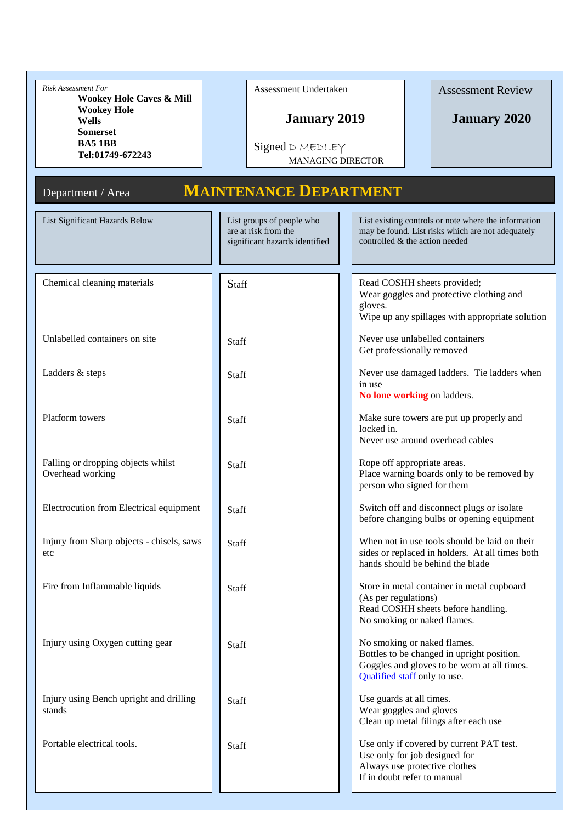| Risk Assessment For<br><b>Wookey Hole Caves &amp; Mill</b><br><b>Wookey Hole</b><br><b>Wells</b><br><b>Somerset</b><br><b>BA51BB</b><br>Tel:01749-672243<br>Department / Area | Assessment Undertaken<br><b>January 2019</b><br>Signed D MEDLEY<br><b>MANAGING DIRECTOR</b><br><b>MAINTENANCE DEPARTMENT</b> | <b>Assessment Review</b><br><b>January 2020</b>                                                                                                          |
|-------------------------------------------------------------------------------------------------------------------------------------------------------------------------------|------------------------------------------------------------------------------------------------------------------------------|----------------------------------------------------------------------------------------------------------------------------------------------------------|
| List Significant Hazards Below                                                                                                                                                | List groups of people who<br>are at risk from the<br>significant hazards identified                                          | List existing controls or note where the information<br>may be found. List risks which are not adequately<br>controlled & the action needed              |
| Chemical cleaning materials                                                                                                                                                   | Staff                                                                                                                        | Read COSHH sheets provided;<br>Wear goggles and protective clothing and<br>gloves.<br>Wipe up any spillages with appropriate solution                    |
| Unlabelled containers on site                                                                                                                                                 | Staff                                                                                                                        | Never use unlabelled containers<br>Get professionally removed                                                                                            |
| Ladders & steps                                                                                                                                                               | <b>Staff</b>                                                                                                                 | Never use damaged ladders. Tie ladders when<br>in use<br>No lone working on ladders.                                                                     |
| Platform towers                                                                                                                                                               | <b>Staff</b>                                                                                                                 | Make sure towers are put up properly and<br>locked in.<br>Never use around overhead cables                                                               |
| Falling or dropping objects whilst<br>Overhead working                                                                                                                        | <b>Staff</b>                                                                                                                 | Rope off appropriate areas.<br>Place warning boards only to be removed by<br>person who signed for them                                                  |
| Electrocution from Electrical equipment                                                                                                                                       | Staff                                                                                                                        | Switch off and disconnect plugs or isolate<br>before changing bulbs or opening equipment                                                                 |
| Injury from Sharp objects - chisels, saws<br>etc                                                                                                                              | Staff                                                                                                                        | When not in use tools should be laid on their<br>sides or replaced in holders. At all times both<br>hands should be behind the blade                     |
| Fire from Inflammable liquids                                                                                                                                                 | Staff                                                                                                                        | Store in metal container in metal cupboard<br>(As per regulations)<br>Read COSHH sheets before handling.<br>No smoking or naked flames.                  |
| Injury using Oxygen cutting gear                                                                                                                                              | Staff                                                                                                                        | No smoking or naked flames.<br>Bottles to be changed in upright position.<br>Goggles and gloves to be worn at all times.<br>Qualified staff only to use. |
| Injury using Bench upright and drilling<br>stands                                                                                                                             | Staff                                                                                                                        | Use guards at all times.<br>Wear goggles and gloves<br>Clean up metal filings after each use                                                             |
| Portable electrical tools.                                                                                                                                                    | Staff                                                                                                                        | Use only if covered by current PAT test.<br>Use only for job designed for<br>Always use protective clothes<br>If in doubt refer to manual                |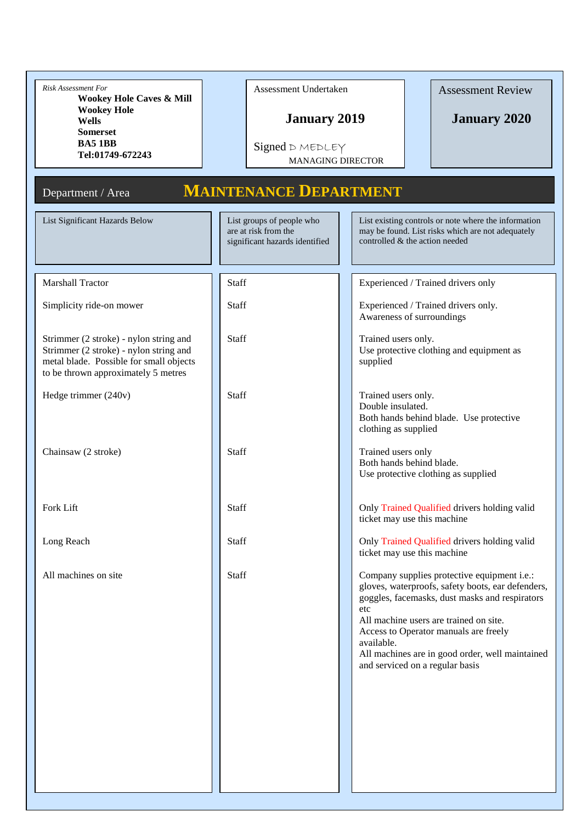| Risk Assessment For<br>Wookey Hole Caves & Mill<br><b>Wookey Hole</b><br><b>Wells</b><br><b>Somerset</b><br><b>BA51BB</b><br>Tel:01749-672243<br>Department / Area<br>List Significant Hazards Below | Assessment Undertaken<br><b>January 2019</b><br>Signed D MEDLEY<br><b>MANAGING DIRECTOR</b><br><b>MAINTENANCE DEPARTMENT</b><br>List groups of people who | <b>Assessment Review</b><br><b>January 2020</b><br>List existing controls or note where the information                                                                                                                                                                                                                                          |
|------------------------------------------------------------------------------------------------------------------------------------------------------------------------------------------------------|-----------------------------------------------------------------------------------------------------------------------------------------------------------|--------------------------------------------------------------------------------------------------------------------------------------------------------------------------------------------------------------------------------------------------------------------------------------------------------------------------------------------------|
|                                                                                                                                                                                                      | are at risk from the<br>significant hazards identified                                                                                                    | may be found. List risks which are not adequately<br>controlled & the action needed                                                                                                                                                                                                                                                              |
| <b>Marshall Tractor</b>                                                                                                                                                                              | Staff                                                                                                                                                     | Experienced / Trained drivers only                                                                                                                                                                                                                                                                                                               |
| Simplicity ride-on mower                                                                                                                                                                             | Staff                                                                                                                                                     | Experienced / Trained drivers only.<br>Awareness of surroundings                                                                                                                                                                                                                                                                                 |
| Strimmer (2 stroke) - nylon string and<br>Strimmer (2 stroke) - nylon string and<br>metal blade. Possible for small objects<br>to be thrown approximately 5 metres                                   | <b>Staff</b>                                                                                                                                              | Trained users only.<br>Use protective clothing and equipment as<br>supplied                                                                                                                                                                                                                                                                      |
| Hedge trimmer (240v)                                                                                                                                                                                 | <b>Staff</b>                                                                                                                                              | Trained users only.<br>Double insulated.<br>Both hands behind blade. Use protective<br>clothing as supplied                                                                                                                                                                                                                                      |
| Chainsaw (2 stroke)                                                                                                                                                                                  | Staff                                                                                                                                                     | Trained users only<br>Both hands behind blade.<br>Use protective clothing as supplied                                                                                                                                                                                                                                                            |
| Fork Lift                                                                                                                                                                                            | Staff                                                                                                                                                     | Only Trained Qualified drivers holding valid<br>ticket may use this machine                                                                                                                                                                                                                                                                      |
| Long Reach                                                                                                                                                                                           | Staff                                                                                                                                                     | Only Trained Qualified drivers holding valid<br>ticket may use this machine                                                                                                                                                                                                                                                                      |
| All machines on site                                                                                                                                                                                 | Staff                                                                                                                                                     | Company supplies protective equipment i.e.:<br>gloves, waterproofs, safety boots, ear defenders,<br>goggles, facemasks, dust masks and respirators<br>etc<br>All machine users are trained on site.<br>Access to Operator manuals are freely<br>available.<br>All machines are in good order, well maintained<br>and serviced on a regular basis |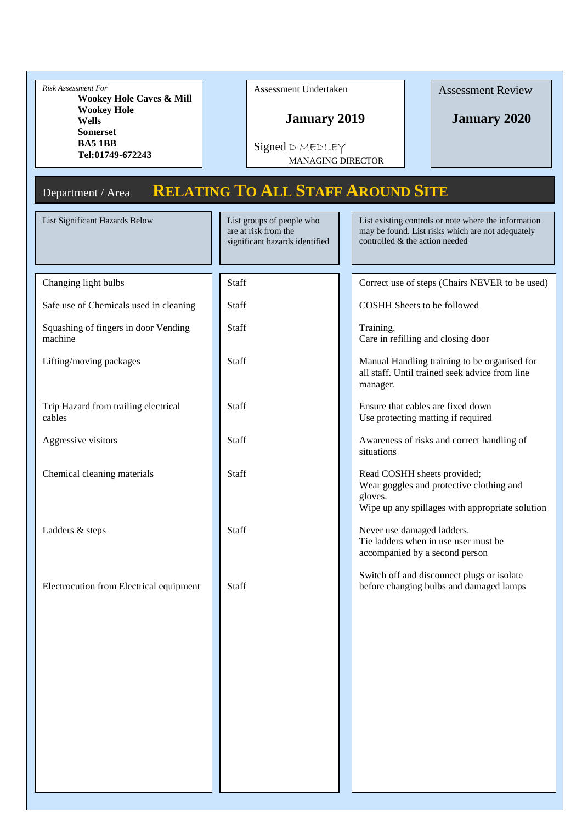| Risk Assessment For<br><b>Wookey Hole Caves &amp; Mill</b><br><b>Wookey Hole</b><br><b>Wells</b><br><b>Somerset</b><br><b>BA5 1BB</b><br>Tel:01749-672243 | Assessment Undertaken<br><b>January 2019</b><br>Signed D MEDLEY<br><b>MANAGING DIRECTOR</b> | <b>Assessment Review</b><br><b>January 2020</b>                                                                                             |
|-----------------------------------------------------------------------------------------------------------------------------------------------------------|---------------------------------------------------------------------------------------------|---------------------------------------------------------------------------------------------------------------------------------------------|
| Department / Area                                                                                                                                         | <b>RELATING TO ALL STAFF AROUND SITE</b>                                                    |                                                                                                                                             |
| List Significant Hazards Below                                                                                                                            | List groups of people who<br>are at risk from the<br>significant hazards identified         | List existing controls or note where the information<br>may be found. List risks which are not adequately<br>controlled & the action needed |
| Changing light bulbs                                                                                                                                      | Staff                                                                                       | Correct use of steps (Chairs NEVER to be used)                                                                                              |
| Safe use of Chemicals used in cleaning                                                                                                                    | Staff                                                                                       | COSHH Sheets to be followed                                                                                                                 |
| Squashing of fingers in door Vending<br>machine                                                                                                           | Staff                                                                                       | Training.<br>Care in refilling and closing door                                                                                             |
| Lifting/moving packages                                                                                                                                   | <b>Staff</b>                                                                                | Manual Handling training to be organised for<br>all staff. Until trained seek advice from line<br>manager.                                  |
| Trip Hazard from trailing electrical<br>cables                                                                                                            | <b>Staff</b>                                                                                | Ensure that cables are fixed down<br>Use protecting matting if required                                                                     |
| Aggressive visitors                                                                                                                                       | <b>Staff</b>                                                                                | Awareness of risks and correct handling of<br>situations                                                                                    |
| Chemical cleaning materials                                                                                                                               | <b>Staff</b>                                                                                | Read COSHH sheets provided;<br>Wear goggles and protective clothing and<br>gloves.<br>Wipe up any spillages with appropriate solution       |
| Ladders & steps                                                                                                                                           | Staff                                                                                       | Never use damaged ladders.<br>Tie ladders when in use user must be<br>accompanied by a second person                                        |
| Electrocution from Electrical equipment                                                                                                                   | Staff                                                                                       | Switch off and disconnect plugs or isolate<br>before changing bulbs and damaged lamps                                                       |
|                                                                                                                                                           |                                                                                             |                                                                                                                                             |
|                                                                                                                                                           |                                                                                             |                                                                                                                                             |
|                                                                                                                                                           |                                                                                             |                                                                                                                                             |
|                                                                                                                                                           |                                                                                             |                                                                                                                                             |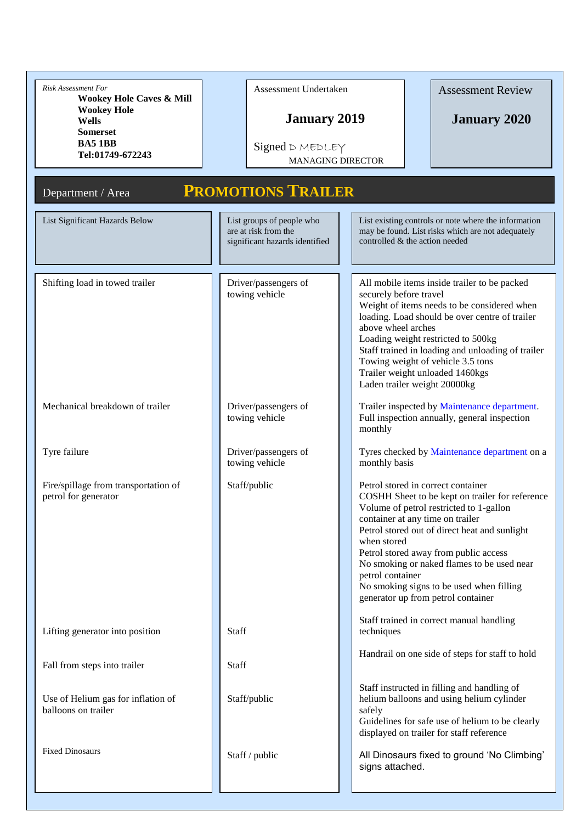| <b>Risk Assessment For</b><br><b>Wookey Hole Caves &amp; Mill</b><br><b>Wookey Hole</b><br><b>Wells</b><br><b>Somerset</b><br><b>BA51BB</b><br>Tel:01749-672243<br>Department / Area | Assessment Undertaken<br><b>January 2019</b><br>Signed D MEDLEY<br><b>MANAGING DIRECTOR</b><br><b>PROMOTIONS TRAILER</b> | <b>Assessment Review</b><br><b>January 2020</b>                                                                                                                                                                                                                                                                                                                                                                                   |
|--------------------------------------------------------------------------------------------------------------------------------------------------------------------------------------|--------------------------------------------------------------------------------------------------------------------------|-----------------------------------------------------------------------------------------------------------------------------------------------------------------------------------------------------------------------------------------------------------------------------------------------------------------------------------------------------------------------------------------------------------------------------------|
| List Significant Hazards Below                                                                                                                                                       | List groups of people who<br>are at risk from the<br>significant hazards identified                                      | List existing controls or note where the information<br>may be found. List risks which are not adequately<br>controlled & the action needed                                                                                                                                                                                                                                                                                       |
| Shifting load in towed trailer                                                                                                                                                       | Driver/passengers of<br>towing vehicle                                                                                   | All mobile items inside trailer to be packed<br>securely before travel<br>Weight of items needs to be considered when<br>loading. Load should be over centre of trailer<br>above wheel arches<br>Loading weight restricted to 500kg<br>Staff trained in loading and unloading of trailer<br>Towing weight of vehicle 3.5 tons<br>Trailer weight unloaded 1460kgs<br>Laden trailer weight 20000kg                                  |
| Mechanical breakdown of trailer                                                                                                                                                      | Driver/passengers of<br>towing vehicle                                                                                   | Trailer inspected by Maintenance department.<br>Full inspection annually, general inspection<br>monthly                                                                                                                                                                                                                                                                                                                           |
| Tyre failure                                                                                                                                                                         | Driver/passengers of<br>towing vehicle                                                                                   | Tyres checked by Maintenance department on a<br>monthly basis                                                                                                                                                                                                                                                                                                                                                                     |
| Fire/spillage from transportation of<br>petrol for generator                                                                                                                         | Staff/public                                                                                                             | Petrol stored in correct container<br>COSHH Sheet to be kept on trailer for reference<br>Volume of petrol restricted to 1-gallon<br>container at any time on trailer<br>Petrol stored out of direct heat and sunlight<br>when stored<br>Petrol stored away from public access<br>No smoking or naked flames to be used near<br>petrol container<br>No smoking signs to be used when filling<br>generator up from petrol container |
| Lifting generator into position                                                                                                                                                      | <b>Staff</b>                                                                                                             | Staff trained in correct manual handling<br>techniques                                                                                                                                                                                                                                                                                                                                                                            |
| Fall from steps into trailer                                                                                                                                                         | <b>Staff</b>                                                                                                             | Handrail on one side of steps for staff to hold                                                                                                                                                                                                                                                                                                                                                                                   |
| Use of Helium gas for inflation of<br>balloons on trailer                                                                                                                            | Staff/public                                                                                                             | Staff instructed in filling and handling of<br>helium balloons and using helium cylinder<br>safely<br>Guidelines for safe use of helium to be clearly<br>displayed on trailer for staff reference                                                                                                                                                                                                                                 |
| <b>Fixed Dinosaurs</b>                                                                                                                                                               | Staff / public                                                                                                           | All Dinosaurs fixed to ground 'No Climbing'<br>signs attached.                                                                                                                                                                                                                                                                                                                                                                    |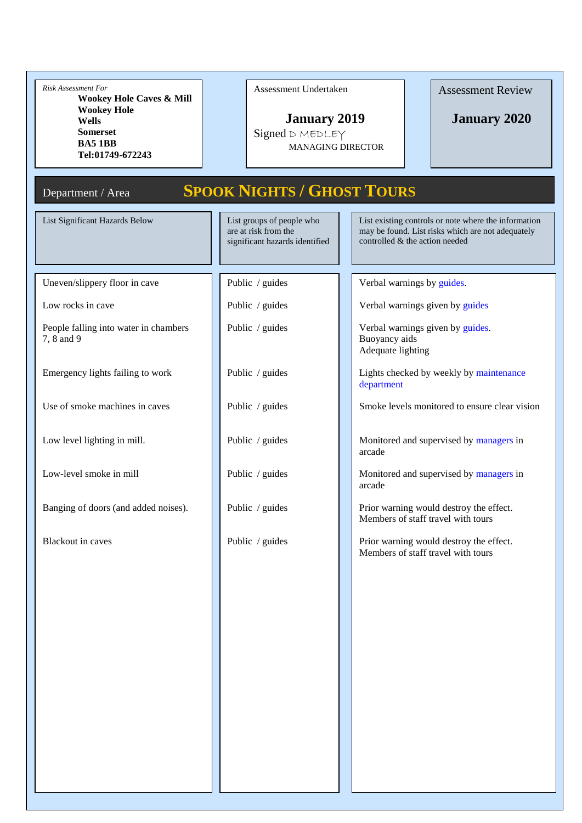| Risk Assessment For<br><b>Wookey Hole Caves &amp; Mill</b><br><b>Wookey Hole</b><br><b>Wells</b><br><b>Somerset</b><br><b>BA5 1BB</b><br>Tel:01749-672243 | Assessment Undertaken<br><b>January 2019</b><br>Signed D MEDLEY<br><b>MANAGING DIRECTOR</b> | <b>Assessment Review</b><br><b>January 2020</b>                                                                                             |
|-----------------------------------------------------------------------------------------------------------------------------------------------------------|---------------------------------------------------------------------------------------------|---------------------------------------------------------------------------------------------------------------------------------------------|
| Department / Area                                                                                                                                         | <b>SPOOK NIGHTS / GHOST TOURS</b>                                                           |                                                                                                                                             |
| List Significant Hazards Below                                                                                                                            | List groups of people who<br>are at risk from the<br>significant hazards identified         | List existing controls or note where the information<br>may be found. List risks which are not adequately<br>controlled & the action needed |
| Uneven/slippery floor in cave                                                                                                                             | Public / guides                                                                             | Verbal warnings by guides.                                                                                                                  |
| Low rocks in cave                                                                                                                                         | Public / guides                                                                             | Verbal warnings given by guides                                                                                                             |
| People falling into water in chambers<br>7, 8 and 9                                                                                                       | Public / guides                                                                             | Verbal warnings given by guides.<br>Buoyancy aids<br>Adequate lighting                                                                      |
| Emergency lights failing to work                                                                                                                          | Public / guides                                                                             | Lights checked by weekly by maintenance<br>department                                                                                       |
| Use of smoke machines in caves                                                                                                                            | Public / guides                                                                             | Smoke levels monitored to ensure clear vision                                                                                               |
| Low level lighting in mill.                                                                                                                               | Public / guides                                                                             | Monitored and supervised by managers in<br>arcade                                                                                           |
| Low-level smoke in mill                                                                                                                                   | Public / guides                                                                             | Monitored and supervised by managers in<br>arcade                                                                                           |
| Banging of doors (and added noises).                                                                                                                      | Public / guides                                                                             | Prior warning would destroy the effect.<br>Members of staff travel with tours                                                               |
| <b>Blackout in caves</b>                                                                                                                                  | Public / guides                                                                             | Prior warning would destroy the effect.<br>Members of staff travel with tours                                                               |
|                                                                                                                                                           |                                                                                             |                                                                                                                                             |
|                                                                                                                                                           |                                                                                             |                                                                                                                                             |
|                                                                                                                                                           |                                                                                             |                                                                                                                                             |
|                                                                                                                                                           |                                                                                             |                                                                                                                                             |
|                                                                                                                                                           |                                                                                             |                                                                                                                                             |
|                                                                                                                                                           |                                                                                             |                                                                                                                                             |
|                                                                                                                                                           |                                                                                             |                                                                                                                                             |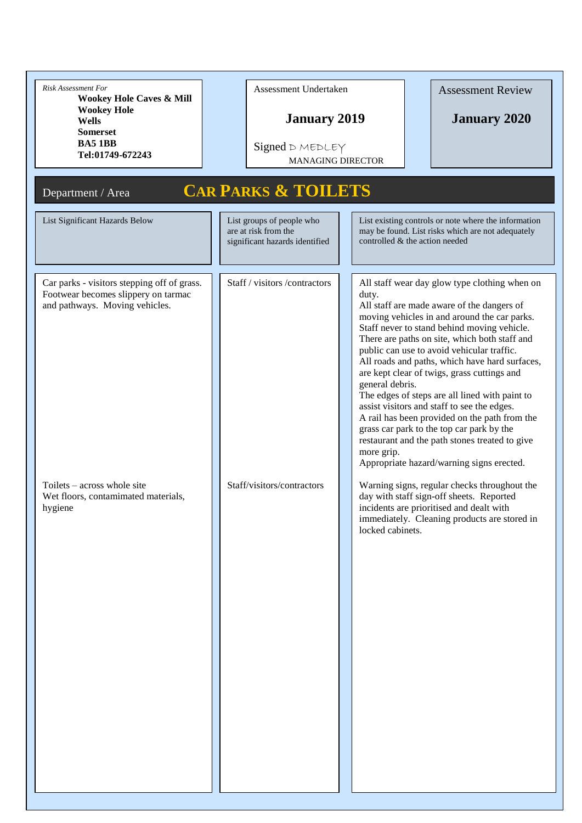| <b>Risk Assessment For</b><br><b>Wookey Hole Caves &amp; Mill</b><br><b>Wookey Hole</b><br><b>Wells</b><br><b>Somerset</b><br><b>BA5 1BB</b><br>Tel:01749-672243                                      | Assessment Undertaken<br><b>Assessment Review</b><br><b>January 2019</b><br><b>January 2020</b><br>Signed D MEDLEY<br><b>MANAGING DIRECTOR</b>                                                                                                                                                                                                                                                                                                                                                                                                                                                                                                                                                                                                                                                                                                                                                                                                                                                                |
|-------------------------------------------------------------------------------------------------------------------------------------------------------------------------------------------------------|---------------------------------------------------------------------------------------------------------------------------------------------------------------------------------------------------------------------------------------------------------------------------------------------------------------------------------------------------------------------------------------------------------------------------------------------------------------------------------------------------------------------------------------------------------------------------------------------------------------------------------------------------------------------------------------------------------------------------------------------------------------------------------------------------------------------------------------------------------------------------------------------------------------------------------------------------------------------------------------------------------------|
| Department / Area<br>List Significant Hazards Below                                                                                                                                                   | <b>CAR PARKS &amp; TOILETS</b><br>List groups of people who<br>List existing controls or note where the information<br>are at risk from the<br>may be found. List risks which are not adequately<br>controlled & the action needed<br>significant hazards identified                                                                                                                                                                                                                                                                                                                                                                                                                                                                                                                                                                                                                                                                                                                                          |
| Car parks - visitors stepping off of grass.<br>Footwear becomes slippery on tarmac<br>and pathways. Moving vehicles.<br>Toilets – across whole site<br>Wet floors, contamimated materials,<br>hygiene | Staff / visitors /contractors<br>All staff wear day glow type clothing when on<br>duty.<br>All staff are made aware of the dangers of<br>moving vehicles in and around the car parks.<br>Staff never to stand behind moving vehicle.<br>There are paths on site, which both staff and<br>public can use to avoid vehicular traffic.<br>All roads and paths, which have hard surfaces,<br>are kept clear of twigs, grass cuttings and<br>general debris.<br>The edges of steps are all lined with paint to<br>assist visitors and staff to see the edges.<br>A rail has been provided on the path from the<br>grass car park to the top car park by the<br>restaurant and the path stones treated to give<br>more grip.<br>Appropriate hazard/warning signs erected.<br>Staff/visitors/contractors<br>Warning signs, regular checks throughout the<br>day with staff sign-off sheets. Reported<br>incidents are prioritised and dealt with<br>immediately. Cleaning products are stored in<br>locked cabinets. |